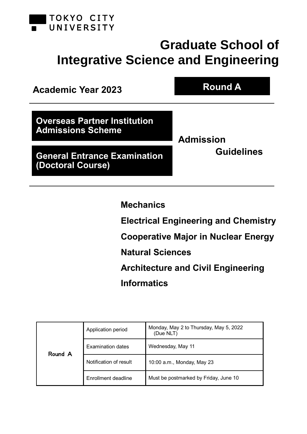

# **Graduate School of Integrative Science and Engineering**



**Mechanics**

**Electrical Engineering and Chemistry**

**Cooperative Major in Nuclear Energy**

**Natural Sciences**

**Architecture and Civil Engineering Informatics**

|         | Application period     | Monday, May 2 to Thursday, May 5, 2022<br>(Due NLT) |  |  |
|---------|------------------------|-----------------------------------------------------|--|--|
| Round A | Examination dates      | Wednesday, May 11                                   |  |  |
|         | Notification of result | 10:00 a.m., Monday, May 23                          |  |  |
|         | Enrollment deadline    | Must be postmarked by Friday, June 10               |  |  |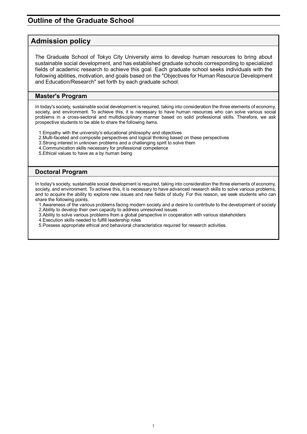# **Outline of the Graduate School**

# **Admission policy**

The Graduate School of Tokyo City University aims to develop human resources to bring about sustainable social development, and has established graduate schools corresponding to specialized fields of academic research to achieve this goal. Each graduate school seeks individuals with the following abilities, motivation, and goals based on the "Objectives for Human Resource Development and Education/Research" set forth by each graduate school.

### **Master's Program**

In today's society, sustainable social development is required, taking into consideration the three elements of economy, society, and environment. To achieve this, it is necessary to have human resources who can solve various social problems in a cross-sectoral and multidisciplinary manner based on solid professional skills. Therefore, we ask prospective students to be able to share the following items.

- 1.Empathy with the university's educational philosophy and objectives
- 2.Multi-faceted and composite perspectives and logical thinking based on these perspectives
- 3.Strong interest in unknown problems and a challenging spirit to solve them
- 4.Communication skills necessary for professional competence
- 5.Ethical values to have as a by human being

### **Doctoral Program**

In today's society, sustainable social development is required, taking into consideration the three elements of economy, society, and environment. To achieve this, it is necessary to have advanced research skills to solve various problems, and to acquire the ability to explore new issues and new fields of study. For this reason, we seek students who can share the following points.

1.Awareness of the various problems facing modern society and a desire to contribute to the development of society 2.Ability to develop their own capacity to address unresolved issues

- 3.Ability to solve various problems from a global perspective in cooperation with various stakeholders
- 4.Execution skills needed to fulfill leadership roles
- 5.Possess appropriate ethical and behavioral characteristics required for research activities.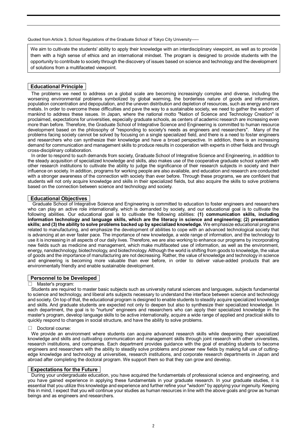Quoted from Article 3, School Regulations of the Graduate School of Tokyo City University

We aim to cultivate the students' ability to apply their knowledge with an interdisciplinary viewpoint, as well as to provide them with a high sense of ethics and an international mindset. The program is designed to provide students with the opportunity to contribute to society through the discovery of issues based on science and technology and the development of solutions from a multifaceted viewpoint.

#### **Educational Principle**

The problems we need to address on a global scale are becoming increasingly complex and diverse, including the worsening environmental problems symbolized by global warming, the borderless nature of goods and information, population concentration and depopulation, and the uneven distribution and depletion of resources, such as energy and rare metals. In order to overcome these difficulties and pave the way to a sustainable society, we need to gather the wisdom of mankind to address these issues. In Japan, where the national motto "Nation of Science and Technology Creation" is proclaimed, expectations for universities, especially graduate schools, as centers of academic research are increasing even more than before. Therefore, the Graduate School of Integrative Science and Engineering is committed to human resource development based on the philosophy of "responding to society's needs as engineers and researchers". Many of the problems facing society cannot be solved by focusing on a single specialized field, and there is a need to foster engineers and researchers who can synthesize their knowledge and have a broad perspective. In addition, there is an increasing demand for communication and management skills to produce results in cooperation with experts in other fields and through cross-disciplinary collaboration.

In order to respond to such demands from society, Graduate School of Integrative Science and Engineering, in addition to the steady acquisition of specialized knowledge and skills, also makes use of the cooperative graduate school system with other research institutions to cultivate the ability to judge the significance of their research subjects in society and their influence on society. In addition, programs for working people are also available, and education and research are conducted with a stronger awareness of the connection with society than ever before. Through these programs, we are confident that students will not only acquire knowledge and skills in their specialized fields, but also acquire the skills to solve problems based on the connection between science and technology and society.

#### **Educational Objectives**

Graduate School of Integrative Science and Engineering is committed to education to foster engineers and researchers who can play an active role internationally, which is demanded by society, and our educational goal is to cultivate the following abilities. Our educational goal is to cultivate the following abilities: **(1) communication skills, including information technology and language skills, which are the literacy in science and engineering; (2) presentation skills; and (3) the ability to solve problems backed up by specialized knowledge.** We emphasize educational programs related to manufacturing, and emphasize the development of abilities to cope with an advanced technological society that is advancing at an ever faster pace. The importance of new knowledge, a wide range of information, and the technology to use it is increasing in all aspects of our daily lives. Therefore, we are also working to enhance our programs by incorporating new fields such as medicine and management, which make multifaceted use of information, as well as the environment, energy, nanotechnology, biotechnology, and biotechnology. Although the world is shifting from goods to knowledge, the value of goods and the importance of manufacturing are not decreasing. Rather, the value of knowledge and technology in science and engineering is becoming more valuable than ever before, in order to deliver value-added products that are environmentally friendly and enable sustainable development.

#### **Personnel to be Developed**

#### Master's program:

Students are required to master basic subjects such as university natural sciences and languages, subjects fundamental to science and technology, and liberal arts subjects necessary to understand the interface between science and technology and society. On top of that, the educational program is designed to enable students to steadily acquire specialized knowledge and skills. And graduate students are expected not only to deepen but also to synthesize their specialized knowledge. In each department, the goal is to "nurture" engineers and researchers who can apply their specialized knowledge in the master's program, develop language skills to be active internationally, acquire a wide range of applied and practical skills to quickly respond to changes in social structure, and have the ability to solve problems.

#### □ Doctoral course:

We provide an environment where students can acquire advanced research skills while deepening their specialized knowledge and skills and cultivating communication and management skills through joint research with other universities, research institutions, and companies. Each department provides guidance with the goal of enabling students to become engineers and researchers with the ability to steadily solve problems and pioneer new fields by making full use of cuttingedge knowledge and technology at universities, research institutions, and corporate research departments in Japan and abroad after completing the doctoral program. We support them so that they can grow and develop.

#### **Expectations for the Future**

During your undergraduate education, you have acquired the fundamentals of professional science and engineering, and you have gained experience in applying these fundamentals in your graduate research. In your graduate studies, it is essential that you utilize this knowledge and experience and further refine your "wisdom" by applying your ingenuity. Keeping this in mind, I expect that you will continue your studies as human resources in line with the above goals and grow as human beings and as engineers and researchers.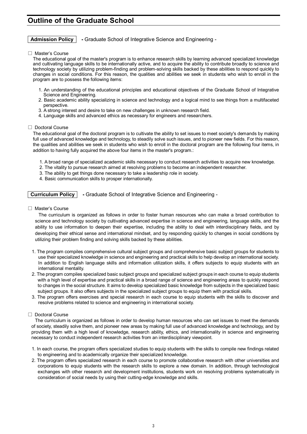# **Outline of the Graduate School**

### **Admission Policy -** Graduate School of Integrative Science and Engineering -

□ Master's Course

The educational goal of the master's program is to enhance research skills by learning advanced specialized knowledge and cultivating language skills to be internationally active, and to acquire the ability to contribute broadly to science and technology society by utilizing problem-finding and problem-solving skills backed by these abilities to respond quickly to changes in social conditions. For this reason, the qualities and abilities we seek in students who wish to enroll in the program are to possess the following items:

- 1. An understanding of the educational principles and educational objectives of the Graduate School of Integrative Science and Engineering.
- 2. Basic academic ability specializing in science and technology and a logical mind to see things from a multifaceted perspective.
- 3. A strong interest and desire to take on new challenges in unknown research field.
- 4. Language skills and advanced ethics as necessary for engineers and researchers.

#### □ Doctoral Course

The educational goal of the doctoral program is to cultivate the ability to set issues to meet society's demands by making full use of advanced knowledge and technology, to steadily solve such issues, and to pioneer new fields. For this reason, the qualities and abilities we seek in students who wish to enroll in the doctoral program are the following four items, in addition to having fully acquired the above four items in the master's program.:

- 1. A broad range of specialized academic skills necessary to conduct research activities to acquire new knowledge.
- 2. The vitality to pursue research aimed at resolving problems to become an independent researcher.
- 3. The ability to get things done necessary to take a leadership role in society.
- 4. Basic communication skills to prosper internationally.

**Curriculum Policy -** Graduate School of Integrative Science and Engineering -

□ Master's Course

The curriculum is organized as follows in order to foster human resources who can make a broad contribution to science and technology society by cultivating advanced expertise in science and engineering, language skills, and the ability to use information to deepen their expertise, including the ability to deal with interdisciplinary fields, and by developing their ethical sense and international mindset, and by responding quickly to changes in social conditions by utilizing their problem finding and solving skills backed by these abilities.

- 1. The program compiles comprehensive cultural subject groups and comprehensive basic subject groups for students to use their specialized knowledge in science and engineering and practical skills to help develop an international society. In addition to English language skills and information utilization skills, it offers subjects to equip students with an international mentality.
- 2. The program compiles specialized basic subject groups and specialized subject groups in each course to equip students with a high level of expertise and practical skills in a broad range of science and engineering areas to quickly respond to changes in the social structure. It aims to develop specialized basic knowledge from subjects in the specialized basic subject groups. It also offers subjects in the specialized subject groups to equip them with practical skills.
- 3. The program offers exercises and special research in each course to equip students with the skills to discover and resolve problems related to science and engineering in international society.

#### □ Doctoral Course

The curriculum is organized as follows in order to develop human resources who can set issues to meet the demands of society, steadily solve them, and pioneer new areas by making full use of advanced knowledge and technology, and by providing them with a high level of knowledge, research ability, ethics, and internationality in science and engineering necessary to conduct independent research activities from an interdisciplinary viewpoint.

- 1. In each course, the program offers specialized studies to equip students with the skills to compile new findings related to engineering and to academically organize their specialized knowledge.
- 2. The program offers specialized research in each course to promote collaborative research with other universities and corporations to equip students with the research skills to explore a new domain. In addition, through technological exchanges with other research and development institutions, students work on resolving problems systematically in consideration of social needs by using their cutting-edge knowledge and skills.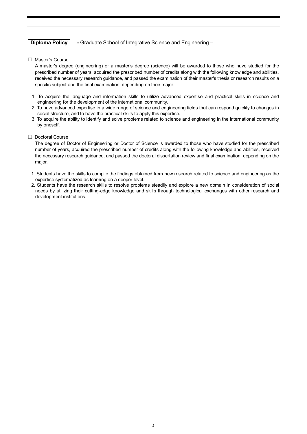### **Diploma Policy -** Graduate School of Integrative Science and Engineering –

□ Master's Course

A master's degree (engineering) or a master's degree (science) will be awarded to those who have studied for the prescribed number of years, acquired the prescribed number of credits along with the following knowledge and abilities, received the necessary research guidance, and passed the examination of their master's thesis or research results on a specific subject and the final examination, depending on their major.

- 1. To acquire the language and information skills to utilize advanced expertise and practical skills in science and engineering for the development of the international community.
- 2. To have advanced expertise in a wide range of science and engineering fields that can respond quickly to changes in social structure, and to have the practical skills to apply this expertise.
- 3. To acquire the ability to identify and solve problems related to science and engineering in the international community by oneself.

#### □ Doctoral Course

The degree of Doctor of Engineering or Doctor of Science is awarded to those who have studied for the prescribed number of years, acquired the prescribed number of credits along with the following knowledge and abilities, received the necessary research guidance, and passed the doctoral dissertation review and final examination, depending on the major.

- 1. Students have the skills to compile the findings obtained from new research related to science and engineering as the expertise systematized as learning on a deeper level.
- 2. Students have the research skills to resolve problems steadily and explore a new domain in consideration of social needs by utilizing their cutting-edge knowledge and skills through technological exchanges with other research and development institutions.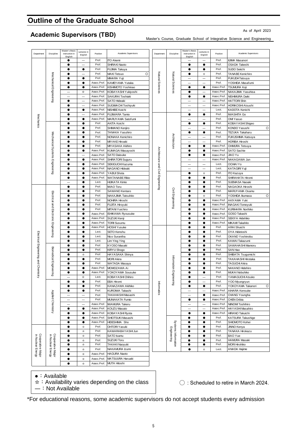# **Outline of the Graduate School**

# **Academic Supervisors (TBD)**

Master's Course, Graduate School of Integrative Science and Engineering

As of April 2023

| Department                             | Discipline                               | Master's thesis<br>instruction in | Lectures in<br>English   | Position                  | Academic Supervisors                 | Department                         | Discipline                         | Master's thesis<br>instruction in     | Lectures in<br>English   | Position                   | Academic Supervisors                     |
|----------------------------------------|------------------------------------------|-----------------------------------|--------------------------|---------------------------|--------------------------------------|------------------------------------|------------------------------------|---------------------------------------|--------------------------|----------------------------|------------------------------------------|
|                                        |                                          | English                           |                          | Prof.                     | <b>ITO Akemi</b>                     |                                    |                                    | English                               |                          | Prof.                      | <b>IIJIMA Masanori</b>                   |
|                                        |                                          | $\bullet$                         | $\overline{\phantom{0}}$ | Prof.                     | SHIRAKI Naoto                        |                                    |                                    | $\bullet$                             |                          | Prof.                      | OSADA Takeshi                            |
|                                        |                                          |                                   | ٠                        | Prof.                     | FUJIMA Takuya                        |                                    |                                    |                                       |                          | Prof.                      | SUDO Seiichi                             |
|                                        |                                          | $\bullet$                         | $\overline{\phantom{0}}$ | Prof.                     | $\circ$<br>MAKI Tetsuo               |                                    |                                    | $\bullet$                             | ☆                        | Prof.                      | TANABE Kenichiro                         |
|                                        |                                          | $\bullet$                         | $\bullet$                | Prof.                     | MIHARA Yuji                          | Natural Sciences                   | Natural Sciences                   | -                                     | -                        | Prof.                      | <b>FUKUDA Tatsuya</b>                    |
|                                        | Mechanical Engineering                   | $\bullet$                         | $\bullet$                | Assoc.Prof.               | KAMEYAMA Yutaka                      |                                    |                                    | -                                     | -                        | Prof.                      | YOSHIDA Masafumi                         |
|                                        |                                          | $\bullet$                         |                          | Assoc.Prof                | KISHIMOTO Yoshinao                   |                                    |                                    | $\bullet$                             | $\bullet$                | Assoc.Prof.                | <b>TSUMURA Koji</b>                      |
|                                        |                                          | $\overline{\phantom{0}}$          | ☆                        | Assoc.Prof                | KOBAYASHI Yukiyoshi                  |                                    |                                    | $\bullet$                             |                          | Assoc.Prof.                | NAKAJIMA Yasuhisa                        |
|                                        |                                          |                                   | L.                       | Assoc.Prof.               | SAKURAI Toshiaki                     |                                    |                                    | $\bullet$                             | $\bullet$                | Assoc.Prof.                | NISHIMURA Daiki                          |
|                                        |                                          | $\bullet$                         | $\overline{\phantom{0}}$ | Assoc.Prof.               | SATO Hideaki                         |                                    |                                    | ÷                                     |                          | Assoc.Prof.                | <b>HATTORI Shin</b>                      |
|                                        |                                          | $\bullet$                         | $\overline{\phantom{0}}$ | Assoc.Prof.               | SUGIMA CHI Toshiyuki                 |                                    |                                    | $\overline{\phantom{0}}$              | $\overline{\phantom{0}}$ | Assoc.Prof.                | <b>HORIKOSHI Atsushi</b>                 |
|                                        |                                          | $\bullet$                         | $\bullet$                | Assoc.Prof.               | NISHIBE Koichi                       |                                    |                                    | $\overline{\phantom{0}}$              |                          | Lect.                      | KADOTA Kenichi                           |
|                                        |                                          |                                   | $\overline{\phantom{0}}$ | Assoc.Prof.               | FUJIWARA Tamio                       |                                    |                                    |                                       |                          | Prof.                      | <b>MASHITA Go</b>                        |
| Mechanics                              |                                          | $\bullet$                         | $\bullet$                | Assoc.Prof.               | MARUYAMA Satofumi                    |                                    |                                    | -                                     | -                        | Prof.                      | OMI Yasuo                                |
|                                        |                                          | $\bullet$                         |                          | Prof.                     | AKITA Koichi                         |                                    |                                    | $\bullet$                             | $\bullet$                | Prof.                      | KOBAYASHI Shigeo                         |
|                                        |                                          |                                   |                          | Prof.                     | SHIMANO Kenjiro                      |                                    |                                    | -                                     | -                        | Prof.                      | $\circ$<br>KONDO Yasushi                 |
|                                        |                                          | $\bullet$                         |                          | Prof.                     | TANAKA Yasuhiro                      |                                    |                                    | $\bullet$                             | $\bullet$                | Prof.                      | TEZUKA Takaharu                          |
|                                        |                                          | $\bullet$                         | ٠                        | Prof.                     | NONAKA Kenichiro                     |                                    | Architecture                       | -                                     | -                        | Prof.                      | FUKUSHIMA Katsuya                        |
|                                        |                                          | $\bullet$                         |                          | Prof.                     | <b>MIY AKE Hiroaki</b>               |                                    |                                    | -                                     | -                        | Prof.                      | HORIBA Hiroshi                           |
|                                        |                                          | $\bullet$                         | ٠                        | Prof.                     | MIYASAKA Akihiro                     |                                    |                                    | $\bullet$                             | $\bullet$                | Assoc.Prof.                | OHMURA Tetsuya                           |
|                                        |                                          | $\bullet$                         | $\bullet$                | Assoc.Prof<br>Assoc.Prof. | KUMA GAI Masayoshi                   |                                    |                                    | $\bullet$                             | $\bullet$                | Assoc.Prof.<br>Assoc.Prof. | SATO Sachie                              |
|                                        |                                          | $\bullet$<br>$\bullet$            | $\bullet$                | Assoc.Prof.               | SATO Daisuke                         |                                    |                                    | $\bullet$<br>$\overline{\phantom{a}}$ | $\bullet$                | Assoc.Prof.                | JIAO Yu<br>NAKAGAWA Jun                  |
|                                        | Mechanical Systems Engineering           | $\bullet$                         | $\bullet$                | Assoc.Prof.               | SHIRATORI Suguru<br>SEKIGUCHI Kazuma |                                    |                                    | $\overline{\phantom{0}}$              | $\overline{\phantom{0}}$ | Lect.                      | OCHIAI Yo                                |
|                                        |                                          |                                   |                          | Assoc.Prof.               | NAGANO Hideaki                       |                                    |                                    | $\overline{\phantom{a}}$              |                          | Lect.                      | KATAGIRI Yuji                            |
|                                        |                                          | $\bullet$                         |                          | Assoc.Prof.               | YABUI Shota                          |                                    |                                    |                                       | ☆                        | Prof.                      | ITO Kazuya                               |
|                                        |                                          |                                   |                          | Assoc.Prof.               | <b>WATANABE Rikio</b>                |                                    | Civil Engineering                  |                                       |                          | Prof.                      | SHIRAHATA Hiromi                         |
|                                        |                                          | $\overline{\phantom{0}}$          |                          | Lect.                     | <b>HIJIKATA Kimio</b>                | Architecture and Civil Engineering |                                    | $\bullet$                             |                          | Prof.                      | SUEMASA Naoaki                           |
|                                        |                                          | $\bullet$                         |                          | Prof.                     | <b>MAO</b> Toru                      |                                    |                                    | $\bullet$                             |                          | Prof.                      | NAGAOKA Hiroshi                          |
|                                        |                                          | $\bullet$                         | $\bullet$                | Prof.                     | SAWANO Kentaro                       |                                    |                                    | $\bullet$                             | $\bullet$                | Prof.                      | MARUYAMA Osamu                           |
|                                        |                                          |                                   | ٠                        | Prof.                     | NAKAJIMA Tatsuhito                   |                                    |                                    | $\bullet$                             | ☆                        | Prof.                      | $\circ$<br>YOSHIDA Ikumasa               |
|                                        | Electrical and<br>Electronic Engineering | $\bullet$                         | $\bullet$                | Prof.                     | NOHIRA Hiroshi                       |                                    |                                    | $\bullet$                             | $\bullet$                | Assoc.Prof.                | AKIYAMA Yuki                             |
|                                        |                                          | $\bullet$                         | $\bullet$                | Prof.                     | FUJITA Hiroyuki                      |                                    |                                    | $\bullet$                             | $\bullet$                | Assoc.Prof.                | INAGAKI Tomoyuki                         |
|                                        |                                          | $\bullet$                         | $\bullet$                | Prof.                     | MITANI Yuichiro                      |                                    |                                    | $\bullet$                             | $\bullet$                | Assoc.Prof.                | KURIHARA Norihiko                        |
|                                        |                                          | $\bullet$                         | $\bullet$                | Assoc.Prof.               | <b>ISHIKAWA Ryousuke</b>             |                                    |                                    | $\bullet$                             | $\bullet$                | Assoc.Prof.                | GOSO Takashi                             |
|                                        |                                          | $\bullet$                         | $\bullet$                | Assoc.Prof.               | SUZUKI Kenji                         |                                    |                                    | $\bullet$                             | $\bullet$                | Assoc.Prof.                | <b>SEKIYA Hidehiko</b>                   |
|                                        |                                          | $\bullet$                         | $\bullet$                | Assoc.Prof.               | <b>TORII Susumu</b>                  |                                    |                                    | $\bullet$                             | $\bullet$                | Assoc.Prof.                | MIKAMI Takahito                          |
|                                        |                                          |                                   |                          | Assoc.Prof.               | <b>HOSHI Yusuke</b>                  |                                    |                                    | $\bullet$                             |                          | Prof.                      | ARAI Shuichi                             |
|                                        |                                          | $\bullet$                         |                          | Lect.                     | SETO Kenshu                          |                                    |                                    | $\bullet$                             |                          | Prof.                      | OYA Hidetoshi                            |
|                                        |                                          | $\bullet$                         |                          | Lect.                     | Nico Surantha                        |                                    |                                    |                                       |                          | Prof.                      | OKANO Yoshinobu                          |
|                                        |                                          | $\bullet$                         |                          | Lect.                     | Lim Ying Ying                        |                                    |                                    | $\bullet$                             |                          | Prof.                      | KAWAI Takazumi                           |
|                                        |                                          |                                   |                          | Prof.                     | KYOSO Masaki                         |                                    |                                    | $\bullet$                             |                          | Prof.                      | SAWAHASHI Mamoru                         |
|                                        |                                          | $\bullet$                         | $\bullet$                | Prof.<br>Prof.            | KIRYU Shogo                          |                                    |                                    | $\bullet$                             | $\bullet$                | Prof.<br>Prof.             | SAN Hao                                  |
|                                        |                                          | $\bullet$<br>$\bullet$            | ☆<br>$\bullet$           | Prof.                     | HAYASAKA Shinya<br><b>MORI Akira</b> |                                    |                                    | $\bullet$<br>$\bullet$                | $\bullet$<br>$\bullet$   | Prof.                      | SHIBATA Tsugumichi<br>TAKAHASHI Hirotaka |
|                                        |                                          | $\bullet$                         | $\bullet$                | Prof.                     | WATADA Masaya                        |                                    |                                    | $\bullet$                             | $\bullet$                | Prof.                      | <b>TAGUCHI Akira</b>                     |
|                                        |                                          | $\bullet$                         | $\bullet$                | Assoc.Prof                | MOMOZAWA Ai                          |                                    |                                    | $\bullet$                             | $\bullet$                | Prof.                      | NAKANO Hidehiro                          |
| Electrical Engineering and Chemistry   | Biomedical Engineering                   | $\bullet$                         | $\bullet$                | Assoc.Prof.               | YOKOYAMA Sousuke                     |                                    | Information Engineering            | $\bullet$                             | $\bullet$                | Prof.                      | MUKAI Nobuhiko                           |
|                                        |                                          | $\overline{\phantom{0}}$          | ☆                        | Lect.                     | KOBAYASHI Chihiro                    |                                    |                                    | $\bullet$                             |                          | Prof.                      | YAMAGUCHI Atsuko                         |
|                                        |                                          |                                   | ٠                        | Prof.                     | EBA Hiromi                           |                                    |                                    |                                       | -                        | Prof.                      | YOO Myungryun                            |
|                                        |                                          |                                   |                          | Prof.                     | KANAZAWA Akihiko                     | Informatics                        |                                    |                                       |                          | Prof.                      | YOKOYAMA Takanori<br>O                   |
|                                        |                                          |                                   |                          | Prof.                     | KUROIWA Takashi                      |                                    |                                    | -                                     | -                        | Assoc.Prof.                | AIHARA Kensuke                           |
|                                        | Applied Chemistry                        | -                                 | $\overline{\phantom{0}}$ | Prof.                     | TAKAHASHI Masashi                    |                                    |                                    | -                                     | $\bullet$                | Assoc.Prof.                | CHANG Youngha                            |
|                                        |                                          | $\qquad \qquad -$                 | $\overline{\phantom{m}}$ | Prof.                     | MUNAKATA Fumio                       |                                    |                                    | ٠                                     |                          | Assoc.Prof.                | CHEN Oribia                              |
|                                        |                                          | $\qquad \qquad -$                 |                          | Assoc.Prof.               | <b>MAMURA Takeru</b>                 |                                    |                                    | -                                     |                          | Assoc.Prof.                | NIINOMI Toshihiro                        |
|                                        |                                          | $\bullet$                         | $\bullet$                | Assoc.Prof.               | KOUZU Masato                         |                                    |                                    | $\overline{\phantom{0}}$              | $\overline{\phantom{0}}$ | Assoc.Prof.                | HAYASHI Masahiro                         |
|                                        |                                          | $\bullet$                         | $\bullet$                | Assoc.Prof.               | KOBAYASHI Ryota                      |                                    |                                    | $\bullet$                             | $\bullet$                | Assoc.Prof.                | <b>HIRANO Takuichi</b>                   |
|                                        |                                          | $\bullet$                         | $\bullet$                | Assoc.Prof.               | SHIOTSUKI Masashi                    |                                    |                                    | $\bullet$                             | $\bullet$                | Prof.                      | KATSURA Takushige                        |
|                                        |                                          | $\bullet$                         | $\bullet$                | Assoc.Prof.               | HIDESHIMA Sho                        |                                    |                                    | $\bullet$                             | $\bullet$                | Prof.                      | SHIOMOTO Kohei                           |
|                                        |                                          | $\bullet$                         | ☆                        | Prof.                     | <b>OHTORI Yasuki</b>                 |                                    |                                    | $\bullet$                             | $\bullet$                | Prof.                      | JINNO Kenya                              |
|                                        |                                          | $\bullet$                         | ☆                        | Prof.                     | KAWARABAYASHI Jun                    |                                    | Systems Information<br>Engineering | $\bullet$                             | $\bullet$                | Prof.                      | TANAKA Hirokazu                          |
|                                        |                                          | ٠                                 | ☆                        | Prof.                     | SATO Isamu                           |                                    |                                    | ٠                                     | $\bullet$                | Prof.                      | BAO Yue                                  |
| Cooperative Major<br>in Nuclear Energy | Cooperative Major<br>in Nuclear Energy   | $\bullet$                         | ☆                        | Prof.                     | SUZUKI Toru                          |                                    |                                    | $\bullet$                             | $\bullet$                | Prof.                      | HAMURA Masaki                            |
|                                        |                                          |                                   | ☆                        | Prof.                     | TAKAKI Naoyuki                       |                                    |                                    | ٠                                     |                          | Prof.                      | MORI Hirohiko                            |
|                                        |                                          | $\bullet$                         | ☆                        | Prof.                     | NAKAMURA Izumi                       |                                    |                                    | $\bullet$                             | ☆                        | Lect.                      | ANADA Hajime                             |
|                                        |                                          |                                   | ☆                        | Assoc.Prof.               | <b>HAGURA Naoto</b>                  |                                    |                                    |                                       |                          |                            |                                          |
|                                        |                                          | $\bullet$                         | ☆                        | Assoc.Prof.               | MATSUURA Haruaki                     |                                    |                                    |                                       |                          |                            |                                          |
|                                        |                                          | $\bullet$                         | ☆                        | Assoc.Prof.               | MUTA Hitoshi                         |                                    |                                    |                                       |                          |                            |                                          |

●:Available

☆:Availability varies depending on the class

―:Not Available

◯ : Scheduled to retire in March 2024.

\*For educational reasons, some academic supervisors do not accept students every admission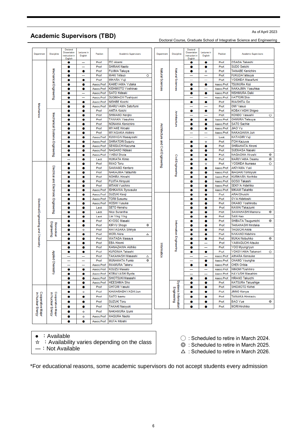# **Academic Supervisors (TBD)**

#### As of April 2023

Doctoral Course, Graduate School of Integrative Science and Engineering

|                                        |                                        |                                                       |                                                      |                      |                              |                                    |                         |                                                       |                        |                            | Doctoral Course, Graduate School of Integrative Science and Engineerir |
|----------------------------------------|----------------------------------------|-------------------------------------------------------|------------------------------------------------------|----------------------|------------------------------|------------------------------------|-------------------------|-------------------------------------------------------|------------------------|----------------------------|------------------------------------------------------------------------|
| Department                             | Discipline                             | Doctoral<br>Dissertation<br>instruction in<br>English | Lectures in<br>English                               | Pasitian             | Academic Supervisors         | Department                         | <b>Discipline</b>       | Doctoral<br>Dissertation<br>instruction in<br>English | Lectures in<br>English | Pasition                   | Academic Supervisors                                                   |
|                                        |                                        | ۰                                                     |                                                      | Prof.                | <b>ITO Akemi</b>             |                                    |                         | ۰                                                     | ۰                      | Prof.                      | <b>OSADA Takeshi</b>                                                   |
|                                        |                                        | ۰                                                     | -                                                    | Prof.                | SHIRAKI Naoto                | Natural Sciences                   |                         | ۰                                                     | ۰                      | Prof.                      | SUDO Seiichi                                                           |
|                                        |                                        | ۰                                                     | ٠                                                    | Prof.                | FUJIMA Takuya                |                                    |                         | ۰                                                     | ☆                      | Prof.                      | <b>TANABE Kenichiro</b>                                                |
|                                        | Mechanical Engineering                 | ۰                                                     |                                                      | Prof.                | <b>MAKITetsuo</b><br>$\circ$ |                                    | Natural Sciences        | -                                                     | -                      | Prof.                      | FUKUDATatsuya                                                          |
|                                        |                                        | ۰                                                     | ۰                                                    | Prof.                | MIHARA Yuji                  |                                    |                         | -                                                     |                        | Prof.                      | YOSHIDA Masafumi                                                       |
|                                        |                                        | ۰                                                     | ۰                                                    | Assoc.Prof.          | KAMEYAMA Yutaka              |                                    |                         | ۰                                                     | ۰                      | Assoc.Prof.                | <b>TSUMURA Koji</b>                                                    |
|                                        |                                        | ۰                                                     | ۰                                                    | Assoc.Prof.          | KISHIMOTO Yoshinao           |                                    |                         | ۰                                                     | <u>—</u>               | Assoc.Prof.                | NAKAJIMA Yasuhisa                                                      |
|                                        |                                        | ۰                                                     | $\overline{\phantom{0}}$                             | Assoc.Prof.          | <b>SATO Hideaki</b>          |                                    |                         | ۰                                                     | ۰                      | Assoc.Prof.                | NISHIMURA Daiki                                                        |
|                                        |                                        | ۰                                                     | -                                                    | Assoc.Prof.          | SUGIMACHI Toshiyuki          |                                    |                         | -                                                     | -                      | Assoc.Prof.                | <b>HATTORI Shin</b>                                                    |
|                                        |                                        | ۰                                                     | ٠                                                    | Assoc.Prof.          | NISHIBE Koichi               |                                    |                         | ۰                                                     | ۰                      | Prof.                      | <b>MASHITA Go</b>                                                      |
| Mechanics                              |                                        | ۰                                                     | ۰                                                    | Assoc.Prof.          | <b>MARUYAMA Satofumi</b>     |                                    |                         | -                                                     | -                      | Prof.                      | OMI Yasuo                                                              |
|                                        |                                        | 0                                                     | ۰                                                    | Prof.                | <b>AKITA Koichi</b>          |                                    |                         | ۰                                                     | ۰                      | Prof.                      | KOBAYASHI Shigeo                                                       |
|                                        |                                        | ۰                                                     | ۰                                                    | Prof.                | SHIMANO Kenjiro              |                                    | Architecture            | $\overline{\phantom{0}}$                              | $\equiv$               | Prof.                      | KONDO Yasushi                                                          |
|                                        |                                        | ۰                                                     | ۰                                                    | Prof.                | TANAKA Yasuhiro              |                                    |                         | ۰                                                     | ۰                      | Assoc.Prof.                | <b>OHMURA Tetsuya</b>                                                  |
|                                        |                                        | ۰                                                     | ۰                                                    | Prof.                | NONAKA Kenichiro             |                                    |                         | ۰                                                     | ۰                      | Assoc.Prof.                | <b>SATO Sachie</b>                                                     |
|                                        |                                        | ۰                                                     | ۰                                                    | Prof.                | <b>MIYAKE Hiroaki</b>        |                                    |                         | ۰                                                     | ۰                      | Assoc.Prof.                | <b>JIAO Yu</b>                                                         |
|                                        |                                        | ۰                                                     | ۰                                                    | Prof.                | <b>MIYASAKA Akihiro</b>      |                                    |                         | -                                                     | -                      | Assoc.Prof.                | NAKAGAWA Jun                                                           |
|                                        |                                        | ۰                                                     | ۰                                                    | Assoc.Prof.          | KUMAGAI Masayoshi            |                                    |                         | -                                                     | -                      | Lect.                      | KATAGIRI Yuji                                                          |
|                                        | Mechanical Systems Engineering         | ۰                                                     | ۰                                                    | Assoc.Prof.          | SHIRATORI Suguru             |                                    |                         | ۰                                                     | ŵ                      | Prof.                      | <b>ITOH Kazuya</b>                                                     |
|                                        |                                        | ۰                                                     | ۰                                                    | Assoc.Prof.          | SEKIGUCHI Kazuma             |                                    |                         | ۰                                                     | ۰                      | Prof.                      | SHIRAHATA Hiromi                                                       |
|                                        |                                        | ۰                                                     | ٠                                                    | Assoc.Prof.          | <b>NAGANO Hideaki</b>        |                                    |                         | ۰                                                     | ۰                      | Prof.                      | SUEMASA Naoaki                                                         |
|                                        |                                        | ۰                                                     | ۰                                                    | Assoc.Prof.          | YABUI Shota                  | Architecture and Civil Engineering |                         | ۰                                                     | ۰                      | Prof.                      | NAGAOKA Hiroshi                                                        |
|                                        |                                        | $\overline{\phantom{0}}$                              | ۰                                                    | Lect.                | <b>HUIKATA Kimio</b>         |                                    |                         | ۰                                                     | ۰                      | Prof.                      | MARUYAMA Osamu                                                         |
|                                        | Electrical and Electronic Engineering  | ۰                                                     | ۰                                                    | Prof.                | <b>MAO Toru</b>              |                                    |                         | ۰                                                     | ŵ                      | Prof.                      | YOSHIDA Ikumasa                                                        |
|                                        |                                        | ۰                                                     | ۰                                                    | Prof.                | SAWANO Kentaro               |                                    | Civil Engineering       | ۰                                                     | ۰                      | Assoc.Prof.                | <b>AKIYAMA Yuki</b>                                                    |
|                                        |                                        | ۰                                                     | ٠                                                    | Prof.                | NAKAJIMA Tatsuhito           |                                    |                         | ۰                                                     | ۰                      | Assoc.Prof.                | <b>INAGAKI Tomoyuki</b>                                                |
|                                        |                                        | ۰                                                     | ۰                                                    | Prof.                | <b>NOHIRA Hiroshi</b>        |                                    |                         | ۰                                                     | ۰                      | Assoc.Prof.                | <b>KURIHARA Norihiko</b>                                               |
|                                        |                                        | ۰                                                     | ۰                                                    | Prof.                | <b>FUJITA Hiroyuki</b>       |                                    |                         | ۰                                                     | ۰                      | Assoc.Prof.                | GOSO Takashi<br>SEKIYA Hidehiko                                        |
|                                        |                                        | ۰                                                     | ۰                                                    | Prof.<br>Assoc.Prof. | MITANI Yuichiro              |                                    |                         | ۰                                                     | ۰                      | Assoc.Prof.<br>Assoc.Prof. | <b>MIKAMI Takahito</b>                                                 |
|                                        |                                        | ۰                                                     | ۰                                                    |                      | ISHIKAWA Ryousuke            |                                    |                         | ۰<br>۰                                                | ۰                      | Prof.                      | <b>ARAI Shuichi</b>                                                    |
|                                        |                                        | ۰<br>۰                                                | Assoc.Prof.<br>SUZUKI Kenji<br>۰<br>Assoc.Prof.<br>۰ | <b>TORII Susumu</b>  |                              |                                    | ۰                       | ۰<br>۰                                                | Prof.                  | OYA Hidetoshi              |                                                                        |
|                                        |                                        | ۰                                                     | ٠                                                    | Assoc.Prof.          | <b>HOSHI</b> Yusuke          |                                    |                         | ۰                                                     | ۰                      | Prof.                      | OKANO Yoshinobu                                                        |
|                                        |                                        | ۰                                                     | ۰                                                    | Lect.                | <b>SETO Kenshu</b>           |                                    |                         | ۰                                                     | ۰                      | Prof.                      | KAWAI Takazumi                                                         |
|                                        |                                        | ۰                                                     | ۰                                                    | Lect.                | Nico Surantha                |                                    |                         | ۰                                                     | ۰                      | Prof.                      | SAWAHASHI Mamoru                                                       |
|                                        |                                        | ۰                                                     | ۰                                                    | Lect.                | Lim Ying Ying                |                                    |                         | ۰                                                     | ۰                      | Prof.                      | SAN Hao                                                                |
|                                        |                                        | ۰                                                     | ۰                                                    | Prof.                | KYOSO Masaki                 |                                    |                         | ۰                                                     | ۰                      | Prof.                      | SHIBATA Tsugumichi                                                     |
|                                        |                                        | ۰                                                     | ۰                                                    | Prof.                | ⊚<br>KIRYU Shogo             |                                    |                         | ۰                                                     | ۰                      | Prof.                      | TAKAHASHI Hirotaka                                                     |
|                                        |                                        | ۰                                                     | ŵ                                                    | Prof.                | HAYASAKA Shinya              |                                    |                         | ۰                                                     | ۰                      | Prof.                      | <b>TAGUCHI Akira</b>                                                   |
|                                        | Engineering<br>Biomedical              | ۰                                                     | ٠                                                    | Prof.                | <b>MORI Akira</b><br>Δ       |                                    |                         | ۰                                                     | ۰                      | Prof.                      | <b>NAKANO Hidehiro</b>                                                 |
|                                        |                                        | ۰                                                     | ٠                                                    | Prof.                | WATADA Masaya                |                                    |                         | ٠                                                     | ۰                      | Prof.                      | <b>MUKAI Nobuhiko</b>                                                  |
| Electrical Engineering and Chemistry   |                                        | ۰                                                     | ۰                                                    | Prof.                | <b>EBA Hiromi</b>            |                                    |                         | ۰                                                     | -                      | Prof.                      | YAMAGUCHI Atsuko                                                       |
|                                        |                                        |                                                       | ۰                                                    | Prof.                | KANAZAWA Akihiko             | Informatics                        | Information Engineering | ۰                                                     | -                      | Prof.                      | YOO Myungryun                                                          |
|                                        |                                        | ۰                                                     | ۰                                                    | Prof.                | <b>KUROMA Takashi</b>        |                                    |                         | ۰                                                     | ۰                      | Prof.                      | YOKOYAMA Takanori                                                      |
|                                        | Applied Chemist                        | -                                                     |                                                      | Prof.                | TAKAHASHI Masashi<br>Δ       |                                    |                         | -                                                     | -                      | Assoc.Prof.                | <b>AIHARA Kensuke</b>                                                  |
|                                        |                                        | $\overline{\phantom{0}}$                              | $\overline{\phantom{0}}$                             | Prof.                | <b>MUNAKATA Fumio</b><br>◉   |                                    |                         | ÷                                                     | ۰                      | Assoc.Prof.                | CHANG Youngha                                                          |
|                                        |                                        |                                                       | $\overline{\phantom{0}}$                             | Assoc.Prof.          | <b>MAMURA Takeru</b>         |                                    |                         | ۰                                                     | ۰                      | Assoc.Prof.                | <b>CHEN Oribia</b>                                                     |
|                                        |                                        | ۰                                                     | ۰                                                    | Assoc.Prof.          | KOUZU Masato                 |                                    |                         |                                                       |                        | Assoc.Prof.                | <b>NIINOMI Toshihiro</b>                                               |
|                                        | Ę                                      |                                                       | ۰                                                    | Assoc.Prof.          | KOBAYASHI Ryota              |                                    |                         |                                                       | -                      | Assoc.Prof.                | <b>HAYASHI Masahiro</b>                                                |
|                                        |                                        | ۰                                                     | ۰                                                    | Assoc.Prof.          | SHIOTSUKI Masashi            |                                    |                         | ۰                                                     | ۰                      | Assoc.Prof.                | <b>HIRANO Takuichi</b>                                                 |
|                                        |                                        | ۰                                                     | ۰                                                    | Assoc.Prof.          | <b>HIDESHIMA Sho</b>         |                                    |                         | ۰                                                     | ۰                      | Prof.                      | <b>KATSURA Takushige</b>                                               |
|                                        |                                        | ۰                                                     | ۰                                                    | Prof.                | OHTORI Yasuki                |                                    | Systems Information     | 0                                                     | ۰                      | Prof.                      | SHIOMOTO Kohei                                                         |
|                                        |                                        | ۰                                                     | ☆                                                    | Prof.                | KAWARABAYASHI Jun            |                                    |                         | ۰                                                     | ۰                      | Prof.                      | JINNO Kenya                                                            |
|                                        |                                        |                                                       | ۰                                                    | Prof.                | SATO Isamu                   |                                    |                         | ۰                                                     | ۰                      | Prof.                      | TANAKA Hirokazu                                                        |
|                                        |                                        | ۰                                                     | ۰                                                    | Prof.                | <b>SUZUKI Toru</b>           |                                    | Engineering             | ۰                                                     | ۰                      | Prof.                      | <b>BAO</b> Yue                                                         |
| Cooperative Major<br>in Nuclear Energy | Cooperative Major<br>in Nuclear Energy | ۰                                                     | ۰                                                    | Prof.                | TAKAKI Naoyuki               |                                    |                         | ۰                                                     | ۰                      | Prof.                      | <b>MORI Hirohiko</b>                                                   |
|                                        |                                        |                                                       |                                                      |                      |                              |                                    |                         |                                                       |                        |                            |                                                                        |
|                                        |                                        | ۰                                                     | ☆                                                    | Prof.                | NAKAMURA Izumi               |                                    |                         |                                                       |                        |                            |                                                                        |
|                                        |                                        | ۰                                                     | ☆                                                    | Assoc.Prof.          | <b>HAGURA Naoto</b>          |                                    |                         |                                                       |                        |                            |                                                                        |
|                                        | ۰                                      | ۰                                                     | Assoc.Prof.                                          | MUTA Hitoshi         |                              |                                    |                         |                                                       |                        |                            |                                                                        |

- :Available
- $\dot{\mathbf{x}}$  : Availability varies depending on the class
- ―:Not Available

◯ : Scheduled to retire in March 2024.

◎ : Scheduled to retire in March 2025.

 $\triangle$  : Scheduled to retire in March 2026.

\*For educational reasons, some academic supervisors do not accept students every admission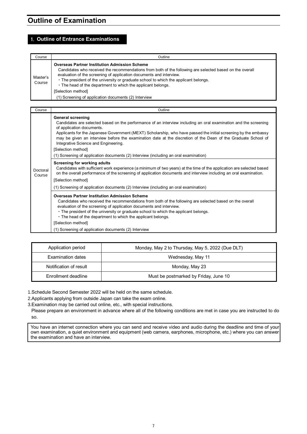# **Outline of Examination**

### 1. **Outline of Entrance Examinations**

| Course             | Outline                                                                                                                                                                                                                                                                                                                                                                                                                                                                       |
|--------------------|-------------------------------------------------------------------------------------------------------------------------------------------------------------------------------------------------------------------------------------------------------------------------------------------------------------------------------------------------------------------------------------------------------------------------------------------------------------------------------|
| Master's<br>Course | <b>Overseas Partner Institution Admission Scheme</b><br>Candidates who received the recommendations from both of the following are selected based on the overall<br>evaluation of the screening of application documents and interview.<br>. The president of the university or graduate school to which the applicant belongs.<br>• The head of the department to which the applicant belongs.<br>[Selection method]<br>(1) Screening of application documents (2) Interview |

| Course             | Outline                                                                                                                                                                                                                                                                                                                                                                                                                                                                     |
|--------------------|-----------------------------------------------------------------------------------------------------------------------------------------------------------------------------------------------------------------------------------------------------------------------------------------------------------------------------------------------------------------------------------------------------------------------------------------------------------------------------|
|                    | <b>General screening</b><br>Candidates are selected based on the performance of an interview including an oral examination and the screening<br>of application documents.<br>Applicants for the Japanese Government (MEXT) Scholarship, who have passed the initial screening by the embassy<br>may be given an interview before the examination date at the discretion of the Dean of the Graduate School of<br>Integrative Science and Engineering.<br>[Selection method] |
|                    | (1) Screening of application documents (2) Interview (including an oral examination)                                                                                                                                                                                                                                                                                                                                                                                        |
| Doctoral<br>Course | Screening for working adults<br>Candidates with sufficient work experience (a minimum of two years) at the time of the application are selected based<br>on the overall performance of the screening of application documents and interview including an oral examination.<br>[Selection method]                                                                                                                                                                            |
|                    | (1) Screening of application documents (2) Interview (including an oral examination)                                                                                                                                                                                                                                                                                                                                                                                        |
|                    | <b>Overseas Partner Institution Admission Scheme</b><br>Candidates who received the recommendations from both of the following are selected based on the overall<br>evaluation of the screening of application documents and interview.<br>. The president of the university or graduate school to which the applicant belongs.<br>• The head of the department to which the applicant belongs.<br>[Selection method]                                                       |
|                    | (1) Screening of application documents (2) Interview                                                                                                                                                                                                                                                                                                                                                                                                                        |

| Application period     | Monday, May 2 to Thursday, May 5, 2022 (Due DLT) |
|------------------------|--------------------------------------------------|
| Examination dates      | Wednesday, May 11                                |
| Notification of result | Monday, May 23                                   |
| Enrollment deadline    | Must be postmarked by Friday, June 10            |

1.Schedule Second Semester 2022 will be held on the same schedule.

2.Applicants applying from outside Japan can take the exam online.

3.Examination may be carried out online, etc., with special instructions.

Please prepare an environment in advance where all of the following conditions are met in case you are instructed to do so.

You have an internet connection where you can send and receive video and audio during the deadline and time of your own examination, a quiet environment and equipment (web camera, earphones, microphone, etc.) where you can answer the examination and have an interview.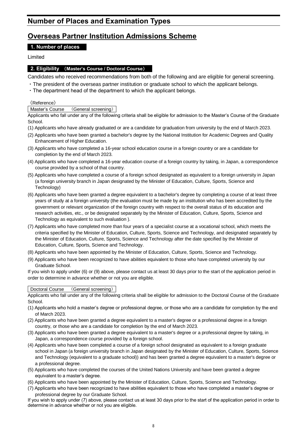# **Number of Places and Examination Types**

# **Overseas Partner Institution Admissions Scheme**

## **1. Number of places**

Limited

### **2. Eligibility** (**Master's Course / Doctoral Course**)

Candidates who received recommendations from both of the following and are eligible for general screening.

- ・The president of the overseas partner institution or graduate school to which the applicant belongs.
- ・The department head of the department to which the applicant belongs.

《Reference》

#### Master's Course (General screening)

Applicants who fall under any of the following criteria shall be eligible for admission to the Master's Course of the Graduate School.

- (1) Applicants who have already graduated or are a candidate for graduation from university by the end of March 2023.
- (2) Applicants who have been granted a bachelor's degree by the National Institution for Academic Degrees and Quality Enhancement of Higher Education.
- (3) Applicants who have completed a 16-year school education course in a foreign country or are a candidate for completion by the end of March 2023.
- (4) Applicants who have completed a 16-year education course of a foreign country by taking, in Japan, a correspondence course provided by a school of that country.
- (5) Applicants who have completed a course of a foreign school designated as equivalent to a foreign university in Japan (a foreign university branch in Japan designated by the Minister of Education, Culture, Sports, Science and Technology)
- (6) Applicants who have been granted a degree equivalent to a bachelor's degree by completing a course of at least three years of study at a foreign university (the evaluation must be made by an institution who has been accredited by the government or relevant organization of the foreign country with respect to the overall status of its education and research activities, etc., or be designated separately by the Minister of Education, Culture, Sports, Science and Technology as equivalent to such evaluation ).
- (7) Applicants who have completed more than four years of a specialist course at a vocational school, which meets the criteria specified by the Minister of Education, Culture, Sports, Science and Technology, and designated separately by the Minister of Education, Culture, Sports, Science and Technology after the date specified by the Minister of Education, Culture, Sports, Science and Technology.
- (8) Applicants who have been appointed by the Minister of Education, Culture, Sports, Science and Technology.
- (9) Applicants who have been recognized to have abilities equivalent to those who have completed university by our Graduate School.
- If you wish to apply under (6) or (9) above, please contact us at least 30 days prior to the start of the application period in order to determine in advance whether or not you are eligible.

#### Doctoral Course (General screening)

Applicants who fall under any of the following criteria shall be eligible for admission to the Doctoral Course of the Graduate School.

- (1) Applicants who hold a master's degree or professional degree, or those who are a candidate for completion by the end of March 2023.
- (2) Applicants who have been granted a degree equivalent to a master's degree or a professional degree in a foreign country, or those who are a candidate for completion by the end of March 2023.
- (3) Applicants who have been granted a degree equivalent to a master's degree or a professional degree by taking, in Japan, a correspondence course provided by a foreign school.
- (4) Applicants who have been completed a course of a foreign school designated as equivalent to a foreign graduate school in Japan (a foreign university branch in Japan designated by the Minister of Education, Culture, Sports, Science and Technology (equivalent to a graduate school)) and has been granted a degree equivalent to a master's degree or a professional degree.
- (5) Applicants who have completed the courses of the United Nations University and have been granted a degree equivalent to a master's degree.
- (6) Applicants who have been appointed by the Minister of Education, Culture, Sports, Science and Technology.
- (7) Applicants who have been recognized to have abilities equivalent to those who have completed a master's degree or professional degree by our Graduate School.

If you wish to apply under (7) above, please contact us at least 30 days prior to the start of the application period in order to determine in advance whether or not you are eligible.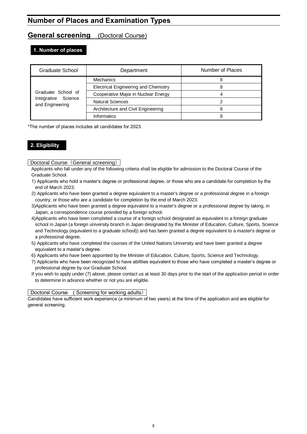# **Number of Places and Examination Types**

# **General screening** (Doctoral Course)

### **1. Number of places**

| Graduate School                        | Department                                  | Number of Places |
|----------------------------------------|---------------------------------------------|------------------|
|                                        | Mechanics                                   |                  |
|                                        | <b>Electrical Engineering and Chemistry</b> |                  |
| Graduate School of                     | Cooperative Major in Nuclear Energy         |                  |
| Integrative Science<br>and Engineering | <b>Natural Sciences</b>                     |                  |
|                                        | Architecture and Civil Engineering          |                  |
|                                        | Informatics                                 |                  |

\*The number of places includes all candidates for 2023.

## **2. Eligibility**

Doctoral Course (General screening)

- Applicants who fall under any of the following criteria shall be eligible for admission to the Doctoral Course of the Graduate School.
- 1) Applicants who hold a master's degree or professional degree, or those who are a candidate for completion by the end of March 2023.
- 2) Applicants who have been granted a degree equivalent to a master's degree or a professional degree in a foreign country, or those who are a candidate for completion by the end of March 2023.
- 3)Applicants who have been granted a degree equivalent to a master's degree or a professional degree by taking, in Japan, a correspondence course provided by a foreign school.
- 4)Applicants who have been completed a course of a foreign school designated as equivalent to a foreign graduate school in Japan (a foreign university branch in Japan designated by the Minister of Education, Culture, Sports, Science and Technology (equivalent to a graduate school)) and has been granted a degree equivalent to a master's degree or a professional degree.
- 5) Applicants who have completed the courses of the United Nations University and have been granted a degree equivalent to a master's degree.
- 6) Applicants who have been appointed by the Minister of Education, Culture, Sports, Science and Technology.
- 7) Applicants who have been recognized to have abilities equivalent to those who have completed a master's degree or professional degree by our Graduate School.
- If you wish to apply under (7) above, please contact us at least 30 days prior to the start of the application period in order to determine in advance whether or not you are eligible.

#### Doctoral Course ( Screening for working adults)

Candidates have sufficient work experience (a minimum of two years) at the time of the application and are eligible for general screening.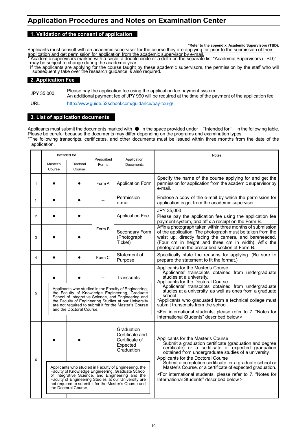# **Application Procedures and Notes on Examination Center**

#### **1. Validation of the consent of application**

**\*Refer to the appendix, Academic Supervisors (TBD).**

Applicants must consult with an academic supervisor for the course they are applying for prior to the submission of their application and get permission for application from the academic supervisor by e-mail.

\* Academic supervisors marked with a circle, a double circle or a delta on the separate list "Academic Supervisors (TBD)" may be subject to change during the academic year.

If the applicants are applying for the course taught by these academic supervisors, the permission by the staff who will subsequently take over the research guidance iš alsó required.

#### **2. Application Fee**

JPY 35,000 Please pay the application fee using the application fee payment system. An additional payment fee of JPY 990 will be required at the time of the payment of the application fee.

URL <http://www.guide.52school.com/guidance/pay-tcu-g/>

#### **3. List of application documents**

Applicants must submit the documents marked with ● in the space provided under "Intended for" in the following table. Please be careful because the documents may differ depending on the programs and examination types. \*The following transcripts, certificates, and other documents must be issued within three months from the date of the application.

|                |                                                                                                                                                                                                                                                                                                                           | Intended for         | Prescribed | Application                                                                                                                                                                                                                                                                                                                                                                                                                                                                                                                             | <b>Notes</b>                                                                                                                                                                                                                                                                                                                                                                                                                                                                                                            |
|----------------|---------------------------------------------------------------------------------------------------------------------------------------------------------------------------------------------------------------------------------------------------------------------------------------------------------------------------|----------------------|------------|-----------------------------------------------------------------------------------------------------------------------------------------------------------------------------------------------------------------------------------------------------------------------------------------------------------------------------------------------------------------------------------------------------------------------------------------------------------------------------------------------------------------------------------------|-------------------------------------------------------------------------------------------------------------------------------------------------------------------------------------------------------------------------------------------------------------------------------------------------------------------------------------------------------------------------------------------------------------------------------------------------------------------------------------------------------------------------|
|                | Master's<br>Course                                                                                                                                                                                                                                                                                                        | Doctoral<br>Course   | Forms      | Documents                                                                                                                                                                                                                                                                                                                                                                                                                                                                                                                               |                                                                                                                                                                                                                                                                                                                                                                                                                                                                                                                         |
| 1              |                                                                                                                                                                                                                                                                                                                           |                      | Form A     | <b>Application Form</b>                                                                                                                                                                                                                                                                                                                                                                                                                                                                                                                 | Specify the name of the course applying for and get the<br>permission for application from the academic supervisor by<br>e-mail.                                                                                                                                                                                                                                                                                                                                                                                        |
| 1'             |                                                                                                                                                                                                                                                                                                                           |                      |            | Permission<br>e-mail                                                                                                                                                                                                                                                                                                                                                                                                                                                                                                                    | Enclose a copy of the e-mail by which the permission for<br>application is got from the academic supervisor.                                                                                                                                                                                                                                                                                                                                                                                                            |
| 2              |                                                                                                                                                                                                                                                                                                                           |                      |            | <b>Application Fee</b>                                                                                                                                                                                                                                                                                                                                                                                                                                                                                                                  | JPY 35,000<br>Please pay the application fee using the application fee<br>payment system, and affix a receipt on the Form B.                                                                                                                                                                                                                                                                                                                                                                                            |
| 3              |                                                                                                                                                                                                                                                                                                                           |                      | Form B     | Secondary Form<br>(Photograph<br>Ticket)                                                                                                                                                                                                                                                                                                                                                                                                                                                                                                | Affix a photograph taken within three months of submission<br>of the application. The photograph must be taken from the<br>waist up, directly facing the camera, and bareheaded.<br>(Four cm in height and three cm in width). Affix the<br>photograph in the prescribed section of Form B.                                                                                                                                                                                                                             |
| $\overline{4}$ |                                                                                                                                                                                                                                                                                                                           |                      | Form C     | Statement of<br>Purpose                                                                                                                                                                                                                                                                                                                                                                                                                                                                                                                 | Specifically state the reasons for applying. (Be sure to<br>prepare the statement to fit the format.)                                                                                                                                                                                                                                                                                                                                                                                                                   |
| 5              | Transcripts<br>Applicants who studied in the Faculty of Engineering,<br>the Faculty of Knowledge Engineering, Graduate<br>School of Integrative Science, and Engineering and<br>the Faculty of Engineering Studies at our University<br>are not required to submit it for the Master's Course<br>and the Doctoral Course. |                      |            | Applicants for the Master's Course<br>Applicants' transcripts obtained from undergraduate<br>studies at a university.<br>Applicants for the Doctoral Course<br>Applicants' transcripts obtained from undergraduate<br>studies at a university, as well as ones from a graduate<br>school.<br>*Applicants who graduated from a technical college must<br>submit transcripts from the school.<br><for "notes="" 7.="" for<br="" international="" please="" refer="" students,="" to="">International Students" described below.&gt;</for> |                                                                                                                                                                                                                                                                                                                                                                                                                                                                                                                         |
| 6              |                                                                                                                                                                                                                                                                                                                           | the Doctoral Course. |            | Graduation<br>Certificate and<br>Certificate of<br>Expected<br>Graduation<br>Applicants who studied in Faculty of Engineering, the<br>Faculty of Knowledge Engineering, Graduate School<br>of Integrative Science, and Engineering and the<br>Faculty of Engineering Studies at our University are<br>not required to submit it for the Master's Course and                                                                                                                                                                             | Applicants for the Master's Course<br>Submit a graduation certificate (graduation and degree<br>certificate) or a certificate of expected graduation<br>obtained from undergraduate studies of a university.<br>Applicants for the Doctoral Course<br>Submit a completion certificate for a graduate school or<br>Master's Course, or a certificate of expected graduation.<br><for "notes="" 7.="" for<br="" international="" please="" refer="" students,="" to="">International Students" described below.&gt;</for> |
|                |                                                                                                                                                                                                                                                                                                                           |                      |            |                                                                                                                                                                                                                                                                                                                                                                                                                                                                                                                                         |                                                                                                                                                                                                                                                                                                                                                                                                                                                                                                                         |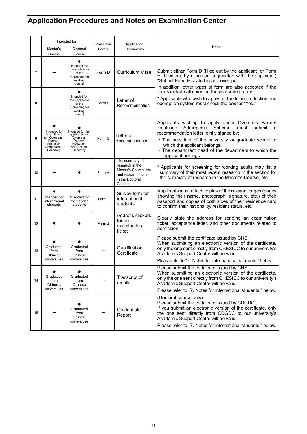# **Application Procedures and Notes on Examination Center**

|                |                                                                                                    | Intended for                                                                                              | Prescribe | Application                                                                                                   | Notes                                                                                                                                                                                                                                                                                                                                 |
|----------------|----------------------------------------------------------------------------------------------------|-----------------------------------------------------------------------------------------------------------|-----------|---------------------------------------------------------------------------------------------------------------|---------------------------------------------------------------------------------------------------------------------------------------------------------------------------------------------------------------------------------------------------------------------------------------------------------------------------------------|
|                | Master's<br>Course                                                                                 | Doctoral<br>Course                                                                                        | Forms     | Documents                                                                                                     |                                                                                                                                                                                                                                                                                                                                       |
| $\overline{7}$ |                                                                                                    | Intended for<br>the applicants<br>of the<br>[Screening for<br>working<br>adults]                          | Form D    | <b>Curriculum Vitae</b>                                                                                       | Submit either Form D (filled out by the applicant) or Form<br>E (filled out by a person acquainted with the applicant.)<br>*Submit Form E sealed in an envelope.<br>In addition, other types of form are also accepted if the                                                                                                         |
| 8              |                                                                                                    | Intended for<br>the applicants<br>of the<br>[Screening for<br>working<br>adults]                          | Form E    | Letter of<br>Recommendation                                                                                   | forms include all items on the prescribed forms.<br>* Applicants who wish to apply for the tuition reduction and<br>exemption system must check the box for "Yes."                                                                                                                                                                    |
| 9              | Intended for<br>the applicants<br>for [Overseas<br>Partner<br>Institution<br>Admissions<br>Scheme] | Intended for the<br>applicants for<br><b>[Overseas</b><br>Partner<br>Institution<br>Admissions<br>Scheme] | Form G    | Letter of<br>Recommendation                                                                                   | Applicants wishing to apply under Overseas Partner<br>Admissions<br>Scheme<br>Institution<br>must<br>submit<br>a<br>recommendation letter jointly signed by:<br>. The president of the university or graduate school to<br>which the applicant belongs.<br>· The department head of the department to which the<br>applicant belongs. |
| 10             |                                                                                                    |                                                                                                           | Form H    | The summary of<br>research in the<br>Master's Course, etc.<br>and research plans<br>in the Doctoral<br>Course | * Applicants for screening for working adults may list a<br>summary of their most recent research in the section for<br>the summary of research in the Master's Course, etc.                                                                                                                                                          |
| 11             | Intended for<br>international<br>students                                                          | Intended for<br>international<br>students                                                                 | Form I    | Survey form for<br>international<br>students                                                                  | Applicants must attach copies of the relevant pages (pages<br>showing their name, photograph, signature, etc.) of their<br>passport and copies of both sides of their residence card<br>to confirm their nationality, resident status, etc.                                                                                           |
| 12             |                                                                                                    |                                                                                                           | Form J    | Address stickers<br>for an<br>examination<br>ticket                                                           | Clearly state the address for sending an examination<br>ticket, acceptance letter, and other documents related to<br>admission.                                                                                                                                                                                                       |
| 13             | Graduated<br>from<br>Chinese<br>universities                                                       | Graduated<br>from<br>Chinese<br>universities                                                              |           | Qualification<br>Certificate                                                                                  | Please submit the certificate issued by CHSI.<br>When submitting an electronic version of the certificate,<br>only the one sent directly from CHESICC to our university's<br>Academic Support Center will be valid.<br>Please refer to "7. Notes for international students" below.                                                   |
| 14             | Graduated<br>from<br>Chinese<br>universities                                                       | Graduated<br>from<br>Chinese<br>universities                                                              |           | Transcript of<br>results                                                                                      | Please submit the certificate issued by CHSI.<br>When submitting an electronic version of the certificate,<br>only the one sent directly from CHESICC to our university's<br>Academic Support Center will be valid.<br>Please refer to "7. Notes for international students " below.                                                  |
| 15             |                                                                                                    | Graduated<br>from<br>Chinese<br>universities                                                              |           | Credentials<br>Report                                                                                         | (Doctoral course only)<br>Please submit the certificate issued by CDGDC.<br>If you submit an electronic version of the certificate, only<br>the one sent directly from CDGDC to our university's<br>Academic Support Center will be valid.<br>Please refer to "7. Notes for international students " below.                           |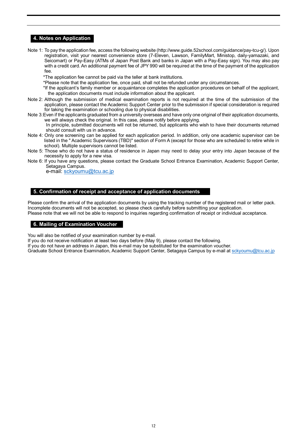### **4. Notes on Application**

Note 1: To pay the application fee, access the following website (http://www.guide.52school.com/guidance/pay-tcu-g/). Upon registration, visit your nearest convenience store (7-Eleven, Lawson, FamilyMart, Ministop, daily-yamazaki, and Seicomart) or Pay-Easy (ATMs of Japan Post Bank and banks in Japan with a Pay-Easy sign). You may also pay with a credit card. An additional payment fee of JPY 990 will be required at the time of the payment of the application fee.

\*The application fee cannot be paid via the teller at bank institutions.

- \*Please note that the application fee, once paid, shall not be refunded under any circumstances.
- \*If the applicant's family member or acquaintance completes the application procedures on behalf of the applicant, the application documents must include information about the applicant.
- Note 2: Although the submission of medical examination reports is not required at the time of the submission of the application, please contact the Academic Support Center prior to the submission if special consideration is required for taking the examination or schooling due to physical disabilities.
- Note 3:Even if the applicants graduated from a university overseas and have only one original of their application documents, we will always check the original. In this case, please notify before applying.

In principle, submitted documents will not be returned, but applicants who wish to have their documents returned should consult with us in advance.

- Note 4: Only one screening can be applied for each application period. In addition, only one academic supervisor can be listed in the " Academic Supervisors (TBD)" section of Form A (except for those who are scheduled to retire while in school). Multiple supervisors cannot be listed.
- Note 5: Those who do not have a status of residence in Japan may need to delay your entry into Japan because of the necessity to apply for a new visa.
- Note 6: If you have any questions, please contact the Graduate School Entrance Examination, Academic Support Center, Setagaya Campus.

e-mail: [sckyoumu@tcu.ac.jp](mailto:sckyoumu@tcu.ac.jp)

#### **5. Confirmation of receipt and acceptance of application documents**

Please confirm the arrival of the application documents by using the tracking number of the registered mail or letter pack. Incomplete documents will not be accepted, so please check carefully before submitting your application. Please note that we will not be able to respond to inquiries regarding confirmation of receipt or individual acceptance.

#### **6. Mailing of Examination Voucher**

You will also be notified of your examination number by e-mail.

If you do not receive notification at least two days before (May 9), please contact the following.

If you do not have an address in Japan, this e-mail may be substituted for the examination voucher.

Graduate School Entrance Examination, Academic Support Center, Setagaya Campus by e-mail a[t sckyoumu@tcu.ac.jp](mailto:sckyoumu@tcu.ac.jp)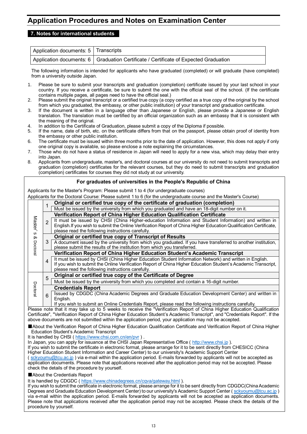# **Application Procedures and Notes on Examination Center**

### **7. Notes for international students**

| Application documents: 5   Transcripts |                                                                                        |
|----------------------------------------|----------------------------------------------------------------------------------------|
|                                        | Application documents: 6   Graduation Certificate / Certificate of Expected Graduation |

The following information is intended for applicants who have graduated (completed) or will graduate (have completed) from a university outside Japan.

- 1. Please be sure to submit your transcripts and graduation (completion) certificate issued by your last school in your country. If you receive a certificate, be sure to submit the one with the official seal of the school. (If the certificate contains multiple pages, all pages need to have the official seal.)
- 2. Please submit the original transcript or a certified true copy (a copy certified as a true copy of the original by the school from which you graduated, the embassy, or other public institution) of your transcript and graduation certificate.
- 3. If the document is written in a language other than Japanese or English, please provide a Japanese or English translation. The translation must be certified by an official organization such as an embassy that it is consistent with the meaning of the original.
- 4. In addition to the Certificate of Graduation, please submit a copy of the Diploma if possible.
- 5. If the name, date of birth, etc. on the certificate differs from that on the passport, please obtain proof of identity from the embassy or other public institution.
- 6. The certificate must be issued within three months prior to the date of application. However, this does not apply if only one original copy is available, so please enclose a note explaining the circumstances.
- 7. Those who do not have a status of residence in Japan will need to apply for a new visa, which may delay their entry into Japan.
- 8. Applicants from undergraduate, master's, and doctoral courses at our university do not need to submit transcripts and graduation (completion) certificates for the relevant courses, but they do need to submit transcripts and graduation (completion) certificates for courses they did not study at our university.

#### **For graduates of universities in the People's Republic of China**

Applicants for the Master's Program: Please submit 1 to 4 (for undergraduate courses)

Applicants for the Doctoral Course: Please submit 1 to 6 (for the undergraduate course and the Master's Course)

|                     |                | Original or certified true copy of the certificate of graduation (completion)                                      |
|---------------------|----------------|--------------------------------------------------------------------------------------------------------------------|
|                     |                | Must be issued by the university from which you graduated and have an 18-digit number on it.                       |
|                     |                | Verification Report of China Higher Education Qualification Certificate                                            |
| Master <sup>'</sup> | $\overline{2}$ | It must be issued by CHSI (China Higher-education Information and Student Information) and written in              |
|                     |                | English. If you wish to submit the Online Verification Report of China Higher Education Qualification Certificate, |
| w                   |                | please read the following instructions carefully.                                                                  |
| ∞                   |                | Original or certified true copy of Transcript of Results                                                           |
|                     | 3              | A document issued by the university from which you graduated. If you have transferred to another institution,      |
| Doctoral            |                | please submit the results of the institution from which you transferred.                                           |
|                     |                | Verification Report of China Higher Education Student's Academic Transcript                                        |
|                     | 4              | It must be issued by CHSI (China Higher Education Student Information Network) and written in English.             |
|                     |                | If you wish to submit the Online Verification Report of China Higher Education Student's Academic Transcript,      |
|                     |                | please read the following instructions carefully.                                                                  |
|                     | 5              | Original or certified true copy of the Certificate of Degree                                                       |
|                     |                | Must be issued by the university from which you completed and contain a 16-digit number.                           |
| Doctoral            |                | <b>Credentials Report</b>                                                                                          |
|                     | 6              | Issued by CDGDC (China Academic Degrees and Graduate Education Development Center) and written in                  |
|                     |                | English.                                                                                                           |
|                     |                | If you wish to submit an Online Credentials Report, please read the following instructions carefully.              |

Please note that it may take up to 5 weeks to receive the "Verification Report of China Higher Education Qualification Certificate", "Verification Report of China Higher Education Student's Academic Transcript", and "Credentials Report". If the above documents are not submitted within the application period, your application may not be accepted.

■About the Verification Report of China Higher Education Qualification Certificate and Verification Report of China Higher Education Student's Academic Transcript

It is handled by CHSI (<https://www.chsi.com.cn/en/pvr> ) .

In Japan, you can apply for issuance at the CHSI Japan Representative Office ( [http://www.chsi.jp](http://www.chsi.jp/) ).

If you wish to submit the certificate in electronic format, please arrange for it to be sent directly from CHESICC (China Higher Education Student Information and Career Center) to our university's Academic Support Center

( [sckyoumu@tcu.ac.jp](mailto:sckyoumu@tcu.ac.jp) ) via e-mail within the application period. E-mails forwarded by applicants will not be accepted as application documents. Please note that applications received after the application period may not be accepted. Please check the details of the procedure by yourself.

■About the Credentials Report

It is handled by CDGDC (<https://www.chinadegrees.cn/cqva/gateway.html> ).

If you wish to submit the certificate in electronic format, please arrange for it to be sent directly from CDGDC(China Academic Degrees and Graduate Education Development Center) to our university's Academic Support Center [\( sckyoumu@tcu.ac.jp](mailto:sckyoumu@tcu.ac.jp) ) via e-mail within the application period. E-mails forwarded by applicants will not be accepted as application documents. Please note that applications received after the application period may not be accepted. Please check the details of the procedure by yourself.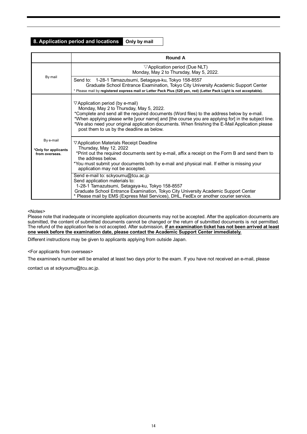### **8. Application period and locations Only by mail**

|                                                     | <b>Round A</b>                                                                                                                                                                                                                                                                                                                                                                                                                                |
|-----------------------------------------------------|-----------------------------------------------------------------------------------------------------------------------------------------------------------------------------------------------------------------------------------------------------------------------------------------------------------------------------------------------------------------------------------------------------------------------------------------------|
|                                                     | $\triangledown$ Application period (Due NLT)<br>Monday, May 2 to Thursday, May 5, 2022.                                                                                                                                                                                                                                                                                                                                                       |
| By mail                                             | Send to: 1-28-1 Tamazutsumi, Setagaya-ku, Tokyo 158-8557<br>Graduate School Entrance Examination, Tokyo City University Academic Support Center<br>* Please mail by registered express mail or Letter Pack Plus (520 yen, red) (Letter Pack Light is not acceptable).                                                                                                                                                                         |
|                                                     | $\triangledown$ Application period (by e-mail)<br>Monday, May 2 to Thursday, May 5, 2022.<br>*Complete and send all the required documents (Word files) to the address below by e-mail.<br>*When applying please write [your name] and [the course you are applying for] in the subject line.<br>*We also need your original application documents. When finishing the E-Mail Application please<br>post them to us by the deadline as below. |
| By e-mail<br>*Only for applicants<br>from overseas. | $\nabla$ Application Materials Receipt Deadline<br>Thursday, May 12, 2022<br>*Print out the required documents sent by e-mail, affix a receipt on the Form B and send them to<br>the address below.<br>*You must submit your documents both by e-mail and physical mail. If either is missing your<br>application may not be accepted.                                                                                                        |
|                                                     | Send e-mail to: sckyoumu@tcu.ac.jp<br>Send application materials to:<br>1-28-1 Tamazutsumi, Setagaya-ku, Tokyo 158-8557<br>Graduate School Entrance Examination, Tokyo City University Academic Support Center<br>* Please mail by EMS (Express Mail Services), DHL, FedEx or another courier service.                                                                                                                                        |

#### <Notes>

Please note that inadequate or incomplete application documents may not be accepted. After the application documents are submitted, the content of submitted documents cannot be changed or the return of submitted documents is not permitted. The refund of the application fee is not accepted. After submission, **if an examination ticket has not been arrived at least one week before the examination date, please contact the Academic Support Center immediately.**

Different instructions may be given to applicants applying from outside Japan.

#### <For applicants from overseas>

The examinee's number will be emailed at least two days prior to the exam. If you have not received an e-mail, please

contact us at sckyoumu@tcu.ac.jp.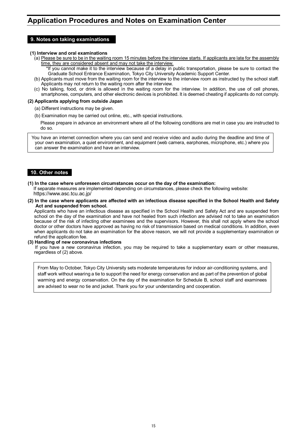#### **9. Notes on taking examinations**

#### **(1) Interview and oral examinations**

- (a) Please be sure to be in the waiting room 15 minutes before the interview starts. If applicants are late for the assembly time, they are considered absent and may not take the interview.
	- \*If you cannot make it to the interview because of a delay in public transportation, please be sure to contact the Graduate School Entrance Examination, Tokyo City University Academic Support Center.
- (b) Applicants must move from the waiting room for the interview to the interview room as instructed by the school staff. Applicants may not return to the waiting room after the interview.
- (c) No talking, food, or drink is allowed in the waiting room for the interview. In addition, the use of cell phones, smartphones, computers, and other electronic devices is prohibited. It is deemed cheating if applicants do not comply.

#### **(2) Applicants applying from outside Japan**

- (a) Different instructions may be given.
- (b) Examination may be carried out online, etc., with special instructions.
	- Please prepare in advance an environment where all of the following conditions are met in case you are instructed to do so.

You have an internet connection where you can send and receive video and audio during the deadline and time of your own examination, a quiet environment, and equipment (web camera, earphones, microphone, etc.) where you can answer the examination and have an interview.

#### **10. Other notes**

**(1) In the case where unforeseen circumstances occur on the day of the examination:**

If separate measures are implemented depending on circumstances, please check the following website: https://www.asc.tcu.ac.jp/

**(2) In the case where applicants are affected with an infectious disease specified in the School Health and Safety Act and suspended from school.**

Applicants who have an infectious disease as specified in the School Health and Safety Act and are suspended from school on the day of the examination and have not healed from such infection are advised not to take an examination because of the risk of infecting other examinees and the supervisors. However, this shall not apply where the school doctor or other doctors have approved as having no risk of transmission based on medical conditions. In addition, even when applicants do not take an examination for the above reason, we will not provide a supplementary examination or refund the application fee.

#### **(3) Handling of new coronavirus infections**

If you have a new coronavirus infection, you may be required to take a supplementary exam or other measures, regardless of (2) above.

From May to October, Tokyo City University sets moderate temperatures for indoor air-conditioning systems, and staff work without wearing a tie to support the need for energy conservation and as part of the prevention of global warming and energy conservation. On the day of the examination for Schedule B, school staff and examinees are advised to wear no tie and jacket. Thank you for your understanding and cooperation.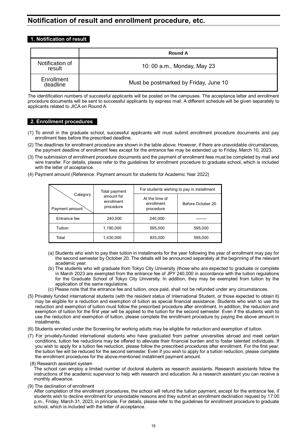# **Notification of result and enrollment procedure, etc.**

### **1. Notification of result**

|                           | <b>Round A</b>                        |
|---------------------------|---------------------------------------|
| Notification of<br>result | 10: 00 a.m., Monday, May 23           |
| Enrollment<br>deadline    | Must be postmarked by Friday, June 10 |

The identification numbers of successful applicants will be posted on the campuses. The acceptance letter and enrollment procedure documents will be sent to successful applicants by express mail. A different schedule will be given separately to applicants related to JICA on Round A.

### **2. Enrollment procedures**

- (1) To enroll in the graduate school, successful applicants will must submit enrollment procedure documents and pay enrollment fees before the prescribed deadline.
- (2) The deadlines for enrollment procedure are shown in the table above. However, if there are unavoidable circumstances, the payment deadline of enrollment fees except for the entrance fee may be extended up to Friday, March 10, 2023.
- (3) The submission of enrollment procedure documents and the payment of enrollment fees must be completed by mail and wire transfer. For details, please refer to the guidelines for enrollment procedure to graduate school, which is included with the letter of acceptance.
- (4) Payment amount (Reference: Payment amount for students for Academic Year 2022)

|                            | Total payment                         | For students wishing to pay in installment |                   |  |
|----------------------------|---------------------------------------|--------------------------------------------|-------------------|--|
| Category<br>Payment amount | amount for<br>enrollment<br>procedure | At the time of<br>enrollment<br>procedure  | Before October 20 |  |
| Entrance fee               | 240,000                               | 240,000                                    |                   |  |
| Tuition                    | 1,190,000                             | 595,000                                    | 595,000           |  |
| Total                      | 1,430,000                             | 835,000                                    | 595,000           |  |

- (a) Students who wish to pay their tuition in installments for the year following the year of enrollment may pay for the second semester by October 20. The details will be announced separately at the beginning of the relevant academic year.
- (b) The students who will graduate from Tokyo City University (those who are expected to graduate or complete in March 2023 are exempted from the entrance fee of JPY 240,000 in accordance with the tuition regulations for the Graduate School of Tokyo City University. In addition, they may be exempted from tuition by the application of the same regulations.
- (c) Please note that the entrance fee and tuition, once paid, shall not be refunded under any circumstances.
- (5) Privately funded international students (with the resident status of International Student, or those expected to obtain it) may be eligible for a reduction and exemption of tuition as special financial assistance. Students who wish to use the reduction and exemption of tuition must follow the prescribed procedure after enrollment. In addition, the reduction and exemption of tuition for the first year will be applied to the tuition for the second semester. Even if the students wish to use the reduction and exemption of tuition, please complete the enrollment procedure by paying the above amount in installments.
- (6) Students enrolled under the Screening for working adults may be eligible for reduction and exemption of tuition.
- (7) For privately-funded international students who have graduated from partner universities abroad and meet certain conditions, tuition fee reductions may be offered to alleviate their financial burden and to foster talented individuals. If you wish to apply for a tuition fee reduction, please follow the prescribed procedures after enrollment. For the first year, the tuition fee will be reduced for the second semester. Even if you wish to apply for a tuition reduction, please complete the enrollment procedures for the above-mentioned installment payment amount.

(8) Research assistant system

The school can employ a limited number of doctoral students as research assistants. Research assistants follow the instructions of the academic supervisor to help with research and education. As a research assistant you can receive a monthly allowance.

(9) The declination of enrollment

After completion of the enrollment procedures, the school will refund the tuition payment, except for the entrance fee, if students wish to decline enrollment for unavoidable reasons and they submit an enrollment declination request by 17:00 p.m., Friday, March 31, 2023, in principle. For details, please refer to the guidelines for enrollment procedure to graduate school, which is included with the letter of acceptance.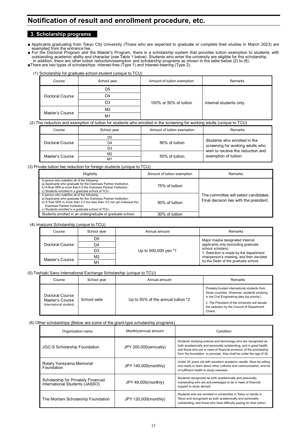# **Notification of result and enrollment procedure, etc.**

### **3. Scholarship programs**

∎ Applicants graduating from Tokyo City University (Those who are expected to graduate or complete their studies in March 2023) are<br>exempted from the entrance fee.<br>∎ For the Doctoral Program and the Master's Program, ther

outstanding academic ability and character (see Table 1 below). Students who enter the university are eligible for this scholarship.<br>In addition, there are other tuition reduction/exemption and scholarship programs as show

■There are two types of scholarships: interest-free (Type 1) and interest-bearing (Type 2). (1) Scholarship for graduate school student (unique to TCU)

| Scribial Ship for graduate Scribbi Student (unique to TCO) |             |                             |                         |  |  |
|------------------------------------------------------------|-------------|-----------------------------|-------------------------|--|--|
| Course                                                     | School year | Amount of tuition exemption | Remarks                 |  |  |
|                                                            | D5          |                             |                         |  |  |
| Doctoral Course                                            | D4          |                             | Internal students only. |  |  |
|                                                            | D3          | 100% or 50% of tuition      |                         |  |  |
| Master's Course                                            | M2          |                             |                         |  |  |
|                                                            | M1          |                             |                         |  |  |

(2) The reduction and exemption of tuition for students who enrolled in the screening for working adults (unique to TCU)

| Course          | School year    | Amount of tuition exemption | Remarks                                                          |  |
|-----------------|----------------|-----------------------------|------------------------------------------------------------------|--|
|                 | D5             |                             |                                                                  |  |
| Doctoral Course | D4             | 90% of tuition              | Students who enrolled in the<br>screening for working adults who |  |
|                 | D3             |                             | wish to receive the reduction and                                |  |
| Master's Course | M <sub>2</sub> | 50% of tuition              | exemption of tuition.                                            |  |
|                 | M <sub>1</sub> |                             |                                                                  |  |

(3) Private tuition fee reduction for foreign students (unique to TCU)

| Eligibility                                                                                                                                                                                                                                                                     | Amount of tuition exemption | Remarks                                                                          |
|---------------------------------------------------------------------------------------------------------------------------------------------------------------------------------------------------------------------------------------------------------------------------------|-----------------------------|----------------------------------------------------------------------------------|
| A person who satisfies all of the following<br>a) Applicants who graduate for the Overseas Partner Institution.<br>b) A final GPA is more than 3.0 the Overseas Partner Institution.<br>c) Students enrolled in a graduate school of TCU.                                       | 75% of tuition              |                                                                                  |
| A person who satisfies all of the following<br>a) Applicants who graduate for the Overseas Partner Institution.<br>b) A final GPA is more than 2.5 but less than 3.0 not yet matureat the<br>Overseas Partner Institution.<br>c) Students enrolled in a graduate school of TCU. | 50% of tuition              | The committee will select candidates.<br>Final decision lies with the president. |
| Students enrolled in an undergraduate or graduate school.                                                                                                                                                                                                                       | 30% of tuition              |                                                                                  |

(4) Imaizumi Scholarship (unique to TCU)

| Course          | School year    | Annual amount        | Remarks                                                    |  |
|-----------------|----------------|----------------------|------------------------------------------------------------|--|
|                 | D5             |                      | Major maybe designated Internal                            |  |
| Doctoral Course | D4             |                      | applicants only (excluding graduate                        |  |
|                 | D3             | Up to 500,000 yen *1 | school scholars)<br>1: Selection is made by the department |  |
| Master's Course | M <sub>2</sub> |                      | chairperson's meeting, and then decided                    |  |
|                 | M <sub>1</sub> |                      | by the Dean of the graduate school.                        |  |

(5) Toshiaki Sano International Exchange Scholarship (unique to TCU)

| Course                                                        | School year | Annual amount                      | Remarks                                                                                                                                                                                                                                                 |
|---------------------------------------------------------------|-------------|------------------------------------|---------------------------------------------------------------------------------------------------------------------------------------------------------------------------------------------------------------------------------------------------------|
| Doctoral Course<br>Master's Course<br>(International student) | School wide | Up to 50% of the annual tuition *2 | Privately funded international students from<br>Asian countries. (However, students studying<br>in the Civil Engineering take top priority.)<br>2. The President of the University will decide<br>the selection by the Council of Department<br>Chairs. |

#### (6) Other scholarships (Below are some of the grant-type scholarship programs)

| Monthly/annual amount<br>Organization name                           |                       | Condition                                                                                                                                                                                                                                                                           |  |
|----------------------------------------------------------------------|-----------------------|-------------------------------------------------------------------------------------------------------------------------------------------------------------------------------------------------------------------------------------------------------------------------------------|--|
| <b>JGC-S Scholarship Foundation</b>                                  | JPY 300,000(annually) | Students studying science and technology who are recognized as<br>both academically and personally outstanding, and in good health,<br>and those who are in need of financial provision of the scholarship<br>from the foundation. In principle, they shall be under the age of 30. |  |
| Rotary Yoneyama Memorial<br>Foundation                               | JPY 140,000(monthly)  | Under 45 years old with excellent academic results. Must be willing<br>and ready to learn about other cultures and communication, and be<br>of sufficient health to study overseas.                                                                                                 |  |
| Scholarship for Privately Financed<br>International Students (JASSO) | JPY 48,000(monthly)   | Students recognized as both academically and personally<br>outstanding who are acknowledged to be in need of financial<br>support to study abroad.                                                                                                                                  |  |
| The Moritani Scholarship Foundation                                  | JPY 120,000(monthly)  | Students who are enrolled in universities in Tokyo or reside in<br>Tokyo and recognized as both academically and personally<br>outstanding, and those who have difficulty paying for their tuition.                                                                                 |  |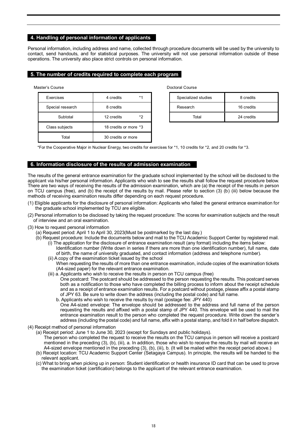#### **4. Handling of personal information of applicants**

Personal information, including address and name, collected through procedure documents will be used by the university to contact, send handouts, and for statistical purposes. The university will not use personal information outside of these operations. The university also place strict controls on personal information.

#### **5. The number of credits required to complete each program**

Master's Course Doctoral Course

| Exercises        | 4 credits             | $*1$ | Specialized studies | 8 credits  |
|------------------|-----------------------|------|---------------------|------------|
| Special research | 8 credits             |      | Research            | 16 credits |
| Subtotal         | 12 credits            | *2   | Total               | 24 credits |
| Class subjects   | 18 credits or more *3 |      |                     |            |
| Total            | 30 credits or more    |      |                     |            |

| Specialized studies | 8 credits  |  |
|---------------------|------------|--|
| Research            | 16 credits |  |
| Total               | 24 credits |  |

\*For the Cooperative Major in Nuclear Energy, two credits for exercises for \*1, 10 credits for \*2, and 20 credits for \*3.

#### **6. Information disclosure of the results of admission examination**

The results of the general entrance examination for the graduate school implemented by the school will be disclosed to the applicant via his/her personal information. Applicants who wish to see the results shall follow the request procedure below. There are two ways of receiving the results of the admission examination, which are (a) the receipt of the results in person on TCU campus (free), and (b) the receipt of the results by mail. Please refer to section (3) (b) (iii) below because the methods of receiving examination results differ depending on each request procedure.

- (1) Eligible applicants for the disclosure of personal information: Applicants who failed the general entrance examination for the graduate school implemented by TCU are eligible.
- (2) Personal information to be disclosed by taking the request procedure: The scores for examination subjects and the result of interview and an oral examination.
- (3) How to request personal information
	- (a) Request period: April 1 to April 30, 2023(Must be postmarked by the last day.)
	- (b) Request procedure: Include the documents below and mail to the TCU Academic Support Center by registered mail. (i) The application for the disclosure of entrance examination result (any format) including the items below:
		- Identification number (Write down in series if there are more than one identification number), full name, date of birth, the name of university graduated, and contact information (address and telephone number).
		- (ii) A copy of the examination ticket issued by the school When requesting the results of more than one entrance examination, include copies of the examination tickets (A4-sized paper) for the relevant entrance examination.
		- (iii) a. Applicants who wish to receive the results in person on TCU campus (free)

One postcard: The postcard should be addressed to the person requesting the results. This postcard serves both as a notification to those who have completed the billing process to inform about the receipt schedule and as a receipt of entrance examination results. For a postcard without postage, please affix a postal stamp of JPY 63. Be sure to write down the address (including the postal code) and full name.

- b. Applicants who wish to receive the results by mail (postage fee: JPY 440) One A4-sized envelope: The envelope should be addressed to the address and full name of the person
- requesting the results and affixed with a postal stamp of JPY 440. This envelope will be used to mail the entrance examination result to the person who completed the request procedure. Write down the sender's address (including the postal code) and full name, affix with a postal stamp, and fold it in half before dispatch.
- (4) Receipt method of personal information
	- (a) Receipt period: June 1 to June 30, 2023 (except for Sundays and public holidays).
		- The person who completed the request to receive the results on the TCU campus in person will receive a postcard mentioned in the preceding (3), (b), (iii), a. In addition, those who wish to receive the results by mail will receive an A4-sized envelope mentioned in the preceding (3), (b), (iii), b. (It will be mailed within the receipt period above.)
	- (b) Receipt location: TCU Academic Support Center (Setagaya Campus). In principle, the results will be handed to the relevant applicant.
	- (c) What to bring when picking up in person: Student identification or health insurance ID card that can be used to prove the examination ticket (certification) belongs to the applicant of the relevant entrance examination.